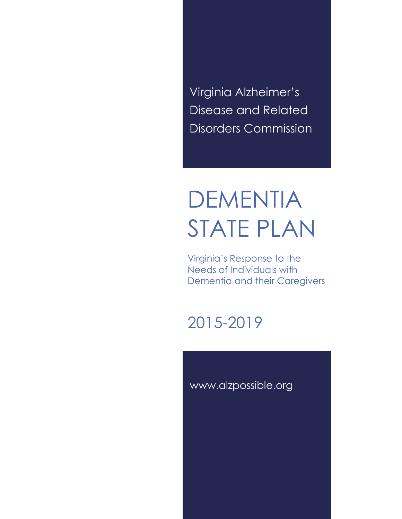Virginia Alzheimer's Disease and Related Disorders Commission

# DEMENTIA STATE PLAN

Virginia's Response to the Needs of Individuals with Dementia and their Caregivers

2015-2019

www.alzpossible.org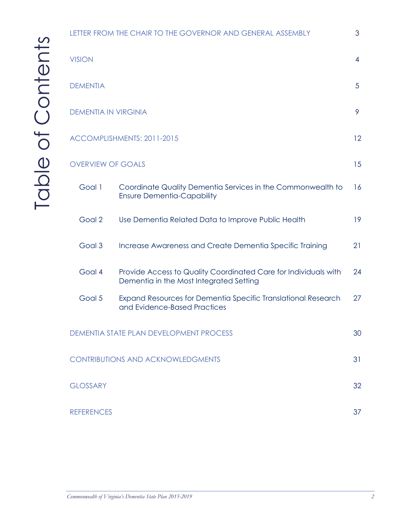|                                          | LETTER FROM THE CHAIR TO THE GOVERNOR AND GENERAL ASSEMBLY |                                                                                                            |    |  |  |
|------------------------------------------|------------------------------------------------------------|------------------------------------------------------------------------------------------------------------|----|--|--|
|                                          | <b>VISION</b>                                              |                                                                                                            |    |  |  |
|                                          | <b>DEMENTIA</b>                                            |                                                                                                            |    |  |  |
|                                          | <b>DEMENTIA IN VIRGINIA</b>                                |                                                                                                            |    |  |  |
|                                          | ACCOMPLISHMENTS: 2011-2015                                 |                                                                                                            |    |  |  |
| 15<br><b>OVERVIEW OF GOALS</b>           |                                                            |                                                                                                            |    |  |  |
|                                          | Goal 1                                                     | Coordinate Quality Dementia Services in the Commonwealth to<br><b>Ensure Dementia-Capability</b>           | 16 |  |  |
|                                          | Goal 2                                                     | Use Dementia Related Data to Improve Public Health                                                         | 19 |  |  |
|                                          | Goal 3                                                     | Increase Awareness and Create Dementia Specific Training                                                   | 21 |  |  |
|                                          | Goal 4                                                     | Provide Access to Quality Coordinated Care for Individuals with<br>Dementia in the Most Integrated Setting | 24 |  |  |
|                                          | Goal 5                                                     | Expand Resources for Dementia Specific Translational Research<br>and Evidence-Based Practices              | 27 |  |  |
| DEMENTIA STATE PLAN DEVELOPMENT PROCESS  |                                                            |                                                                                                            |    |  |  |
| <b>CONTRIBUTIONS AND ACKNOWLEDGMENTS</b> |                                                            |                                                                                                            |    |  |  |
|                                          | <b>GLOSSARY</b>                                            |                                                                                                            |    |  |  |
|                                          | <b>REFERENCES</b>                                          |                                                                                                            |    |  |  |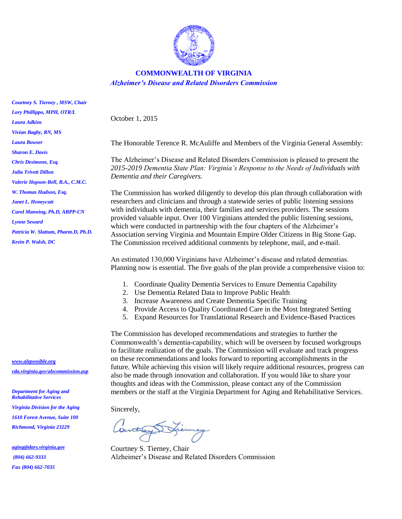

#### **COMMONWEALTH OF VIRGINIA** *Alzheimer's Disease and Related Disorders Commission*

October 1, 2015

The Honorable Terence R. McAuliffe and Members of the Virginia General Assembly:

The Alzheimer's Disease and Related Disorders Commission is pleased to present the *2015-2019 Dementia State Plan: Virginia's Response to the Needs of Individuals with Dementia and their Caregivers.* 

The Commission has worked diligently to develop this plan through collaboration with researchers and clinicians and through a statewide series of public listening sessions with individuals with dementia, their families and services providers. The sessions provided valuable input. Over 100 Virginians attended the public listening sessions, which were conducted in partnership with the four chapters of the Alzheimer's Association serving Virginia and Mountain Empire Older Citizens in Big Stone Gap. The Commission received additional comments by telephone, mail, and e-mail.

An estimated 130,000 Virginians have Alzheimer's disease and related dementias. Planning now is essential. The five goals of the plan provide a comprehensive vision to:

- 1. Coordinate Quality Dementia Services to Ensure Dementia Capability
- 2. Use Dementia Related Data to Improve Public Health
- 3. Increase Awareness and Create Dementia Specific Training
- 4. Provide Access to Quality Coordinated Care in the Most Integrated Setting
- 5. Expand Resources for Translational Research and Evidence-Based Practices

The Commission has developed recommendations and strategies to further the Commonwealth's dementia-capability, which will be overseen by focused workgroups to facilitate realization of the goals. The Commission will evaluate and track progress on these recommendations and looks forward to reporting accomplishments in the future. While achieving this vision will likely require additional resources, progress can also be made through innovation and collaboration. If you would like to share your thoughts and ideas with the Commission, please contact any of the Commission members or the staff at the Virginia Department for Aging and Rehabilitative Services.

Sincerely,

Countrey

Courtney S. Tierney, Chair Alzheimer's Disease and Related Disorders Commission

*Lory Phillippo, MPH, OTR/L Laura Adkins Vivian Bagby, RN, MS Laura Bowser Sharon E. Davis Chris Desimone, Esq. Julia Trivett Dillon Valerie Hopson-Bell, B.A., C.M.C. W. Thomas Hudson, Esq. Janet L. Honeycutt Carol Manning, Ph.D, ABPP-CN Lynne Seward Patricia W. Slattum, Pharm.D, Ph.D.*

*Kevin P. Walsh, DC*

*Courtney S. Tierney , MSW, Chair*

*[www.alzpossible.org](http://www.alzpossible.org/) [vda.virginia.gov/alzcommission.asp](http://www.vda.virginia.gov/alzcommission.asp)*

*Department for Aging and Rehabilitative Services Virginia Division for the Aging 1610 Forest Avenue, Suite 100 Richmond, Virginia 23229*

*[aging@dars.virginia.gov](mailto:aging@dars.virginia.gov) (804) 662-9333 Fax (804) 662-7035*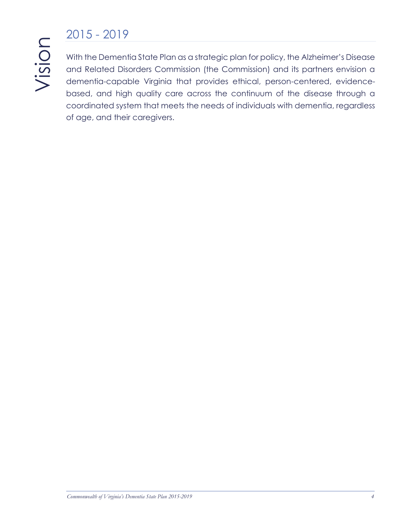# 2015 - 2019

With the Dementia State Plan as a strategic plan for policy, the Alzheimer's Disease and Related Disorders Commission (the Commission) and its partners envision a dementia-capable Virginia that provides ethical, person-centered, evidencebased, and high quality care across the continuum of the disease through a coordinated system that meets the needs of individuals with dementia, regardless of age, and their caregivers.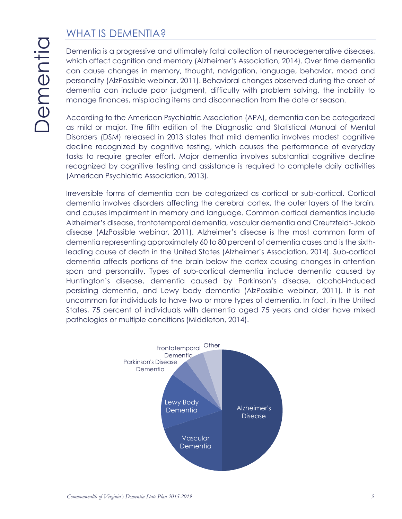# WHAT IS DEMENTIA?

Dementia is a progressive and ultimately fatal collection of neurodegenerative diseases, which affect cognition and memory (Alzheimer's Association, 2014). Over time dementia can cause changes in memory, thought, navigation, language, behavior, mood and personality (AlzPossible webinar, 2011). Behavioral changes observed during the onset of dementia can include poor judgment, difficulty with problem solving, the inability to manage finances, misplacing items and disconnection from the date or season.

According to the American Psychiatric Association (APA), dementia can be categorized as mild or major. The fifth edition of the Diagnostic and Statistical Manual of Mental Disorders (DSM) released in 2013 states that mild dementia involves modest cognitive decline recognized by cognitive testing, which causes the performance of everyday tasks to require greater effort. Major dementia involves substantial cognitive decline recognized by cognitive testing and assistance is required to complete daily activities (American Psychiatric Association, 2013).

Irreversible forms of dementia can be categorized as cortical or sub-cortical. Cortical dementia involves disorders affecting the cerebral cortex, the outer layers of the brain, and causes impairment in memory and language. Common cortical dementias include Alzheimer's disease, frontotemporal dementia, vascular dementia and Creutzfeldt-Jakob disease (AlzPossible webinar, 2011). Alzheimer's disease is the most common form of dementia representing approximately 60 to 80 percent of dementia cases and is the sixthleading cause of death in the United States (Alzheimer's Association, 2014). Sub-cortical dementia affects portions of the brain below the cortex causing changes in attention span and personality. Types of sub-cortical dementia include dementia caused by Huntington's disease, dementia caused by Parkinson's disease, alcohol-induced persisting dementia, and Lewy body dementia (AlzPossible webinar, 2011). It is not uncommon for individuals to have two or more types of dementia. In fact, in the United States, 75 percent of individuals with dementia aged 75 years and older have mixed pathologies or multiple conditions (Middleton, 2014).

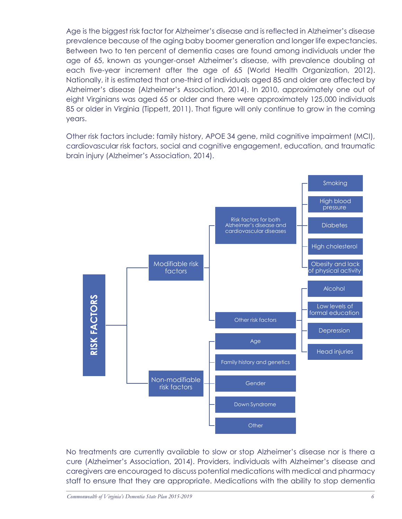Age is the biggest risk factor for Alzheimer's disease and is reflected in Alzheimer's disease prevalence because of the aging baby boomer generation and longer life expectancies. Between two to ten percent of dementia cases are found among individuals under the age of 65, known as younger-onset Alzheimer's disease, with prevalence doubling at each five-year increment after the age of 65 (World Health Organization, 2012). Nationally, it is estimated that one-third of individuals aged 85 and older are affected by Alzheimer's disease (Alzheimer's Association, 2014). In 2010, approximately one out of eight Virginians was aged 65 or older and there were approximately 125,000 individuals 85 or older in Virginia (Tippett, 2011). That figure will only continue to grow in the coming years.

Other risk factors include: family history, APOE 34 gene, mild cognitive impairment (MCI), cardiovascular risk factors, social and cognitive engagement, education, and traumatic brain injury (Alzheimer's Association, 2014).



No treatments are currently available to slow or stop Alzheimer's disease nor is there a cure (Alzheimer's Association, 2014). Providers, individuals with Alzheimer's disease and caregivers are encouraged to discuss potential medications with medical and pharmacy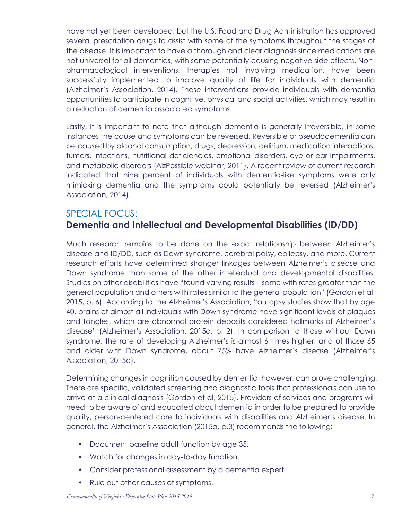have not yet been developed, but the U.S. Food and Drug Administration has approved several prescription drugs to assist with some of the symptoms throughout the stages of the disease. It is important to have a thorough and clear diagnosis since medications are not universal for all dementias, with some potentially causing negative side effects. Nonpharmacological interventions, therapies not involving medication, have been successfully implemented to improve quality of life for individuals with dementia (Alzheimer's Association, 2014). These interventions provide individuals with dementia opportunities to participate in cognitive, physical and social activities, which may result in a reduction of dementia associated symptoms.

Lastly, it is important to note that although dementia is generally irreversible, in some instances the cause and symptoms can be reversed. Reversible or pseudodementia can be caused by alcohol consumption, drugs, depression, delirium, medication interactions, tumors, infections, nutritional deficiencies, emotional disorders, eye or ear impairments, and metabolic disorders (AlzPossible webinar, 2011). A recent review of current research indicated that nine percent of individuals with dementia-like symptoms were only mimicking dementia and the symptoms could potentially be reversed (Alzheimer's Association, 2014).

### SPECIAL FOCUS: **Dementia and Intellectual and Developmental Disabilities (ID/DD)**

Much research remains to be done on the exact relationship between Alzheimer's disease and ID/DD, such as Down syndrome, cerebral palsy, epilepsy, and more. Current research efforts have determined stronger linkages between Alzheimer's disease and Down syndrome than some of the other intellectual and developmental disabilities. Studies on other disabilities have "found varying results—some with rates greater than the general population and others with rates similar to the general population" (Gordon et al, 2015, p. 6). According to the Alzheimer's Association, "autopsy studies show that by age 40, brains of almost all individuals with Down syndrome have significant levels of plaques and tangles, which are abnormal protein deposits considered hallmarks of Alzheimer's disease" (Alzheimer's Association, 2015a, p. 2). In comparison to those without Down syndrome, the rate of developing Alzheimer's is almost 6 times higher, and of those 65 and older with Down syndrome, about 75% have Alzheimer's disease (Alzheimer's Association, 2015a).

Determining changes in cognition caused by dementia, however, can prove challenging. There are specific, validated screening and diagnostic tools that professionals can use to arrive at a clinical diagnosis (Gordon et al, 2015). Providers of services and programs will need to be aware of and educated about dementia in order to be prepared to provide quality, person-centered care to individuals with disabilities and Alzheimer's disease. In general, the Alzheimer's Association (2015a, p.3) recommends the following:

- Document baseline adult function by age 35.
- Watch for changes in day-to-day function.
- Consider professional assessment by a dementia expert.
- Rule out other causes of symptoms.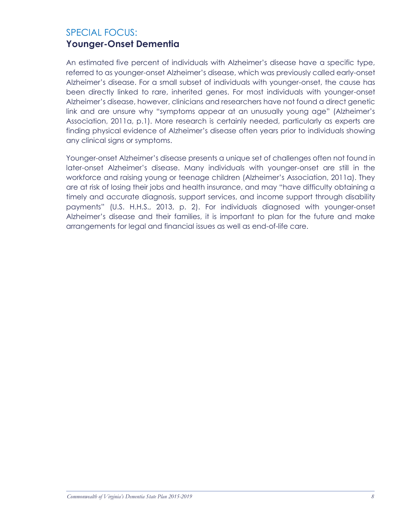### SPECIAL FOCUS: **Younger-Onset Dementia**

An estimated five percent of individuals with Alzheimer's disease have a specific type, referred to as younger-onset Alzheimer's disease, which was previously called early-onset Alzheimer's disease. For a small subset of individuals with younger-onset, the cause has been directly linked to rare, inherited genes. For most individuals with younger-onset Alzheimer's disease, however, clinicians and researchers have not found a direct genetic link and are unsure why "symptoms appear at an unusually young age" (Alzheimer's Association, 2011a, p.1). More research is certainly needed, particularly as experts are finding physical evidence of Alzheimer's disease often years prior to individuals showing any clinical signs or symptoms.

Younger-onset Alzheimer's disease presents a unique set of challenges often not found in later-onset Alzheimer's disease. Many individuals with younger-onset are still in the workforce and raising young or teenage children (Alzheimer's Association, 2011a). They are at risk of losing their jobs and health insurance, and may "have difficulty obtaining a timely and accurate diagnosis, support services, and income support through disability payments" (U.S. H.H.S., 2013, p. 2). For individuals diagnosed with younger-onset Alzheimer's disease and their families, it is important to plan for the future and make arrangements for legal and financial issues as well as end-of-life care.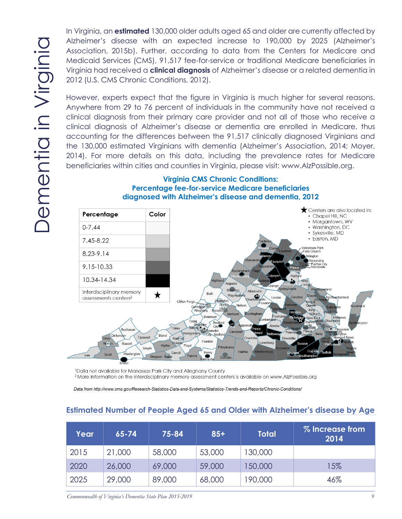In Virginia, an **estimated** 130,000 older adults aged 65 and older are currently affected by Alzheimer's disease with an expected increase to 190,000 by 2025 (Alzheimer's Association, 2015b). Further, according to data from the Centers for Medicare and Medicaid Services (CMS), 91,517 fee-for-service or traditional Medicare beneficiaries in Virginia had received a **clinical diagnosis** of Alzheimer's disease or a related dementia in 2012 (U.S. CMS Chronic Conditions, 2012).

However, experts expect that the figure in Virginia is much higher for several reasons. Anywhere from 29 to 76 percent of individuals in the community have not received a clinical diagnosis from their primary care provider and not all of those who receive a clinical diagnosis of Alzheimer's disease or dementia are enrolled in Medicare, thus accounting for the differences between the 91,517 clinically diagnosed Virginians and the 130,000 estimated Virginians with dementia (Alzheimer's Association, 2014; Moyer, 2014). For more details on this data, including the prevalence rates for Medicare beneficiaries within cities and counties in Virginia, please visit: www.AlzPossible.org.



#### **Virginia CMS Chronic Conditions: Percentage fee-for-service Medicare beneficiaries diagnosed with Alzheimer's disease and dementia, 2012**

<sup>1</sup>Data not available for Manassas Park City and Alleghany County <sup>2</sup> More information on the interdisciplinary memory assessment centers is available on www.AlzPossible.org

Data from http://www.cms.gov/Research-Statistics-Data-and-Systems/Statistics-Trends-and-Reports/Chronic-Conditions/

| Year | $65 - 74$ | 75-84  | $85+$  | <b>Total</b> | % Increase from<br>2014 |
|------|-----------|--------|--------|--------------|-------------------------|
| 2015 | 21,000    | 58,000 | 53,000 | 130,000      |                         |
| 2020 | 26,000    | 69,000 | 59,000 | 150,000      | 15%                     |
| 2025 | 29,000    | 89,000 | 68,000 | 90,000       | 46%                     |

#### **Estimated Number of People Aged 65 and Older with Alzheimer's disease by Age**

*Commonwealth of Virginia's Dementia State Plan 2015-2019 9*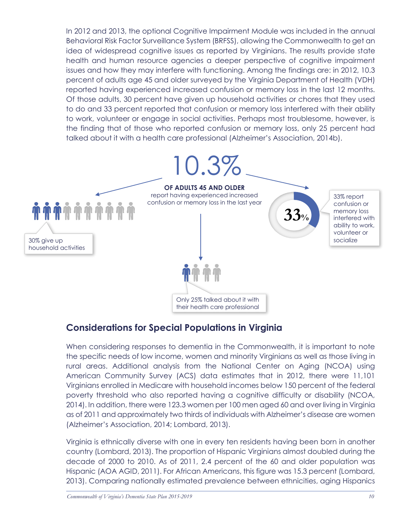In 2012 and 2013, the optional Cognitive Impairment Module was included in the annual Behavioral Risk Factor Surveillance System (BRFSS), allowing the Commonwealth to get an idea of widespread cognitive issues as reported by Virginians. The results provide state health and human resource agencies a deeper perspective of cognitive impairment issues and how they may interfere with functioning. Among the findings are: in 2012, 10.3 percent of adults age 45 and older surveyed by the Virginia Department of Health (VDH) reported having experienced increased confusion or memory loss in the last 12 months. Of those adults, 30 percent have given up household activities or chores that they used to do and 33 percent reported that confusion or memory loss interfered with their ability to work, volunteer or engage in social activities. Perhaps most troublesome, however, is the finding that of those who reported confusion or memory loss, only 25 percent had talked about it with a health care professional (Alzheimer's Association, 2014b).



### **Considerations for Special Populations in Virginia**

When considering responses to dementia in the Commonwealth, it is important to note the specific needs of low income, women and minority Virginians as well as those living in rural areas. Additional analysis from the National Center on Aging (NCOA) using American Community Survey (ACS) data estimates that in 2012, there were 11,101 Virginians enrolled in Medicare with household incomes below 150 percent of the federal poverty threshold who also reported having a cognitive difficulty or disability (NCOA, 2014). In addition, there were 123.3 women per 100 men aged 60 and over living in Virginia as of 2011 and approximately two thirds of individuals with Alzheimer's disease are women (Alzheimer's Association, 2014; Lombard, 2013).

Virginia is ethnically diverse with one in every ten residents having been born in another country (Lombard, 2013). The proportion of Hispanic Virginians almost doubled during the decade of 2000 to 2010. As of 2011, 2.4 percent of the 60 and older population was Hispanic (AOA AGID, 2011). For African Americans, this figure was 15.3 percent (Lombard, 2013). Comparing nationally estimated prevalence between ethnicities, aging Hispanics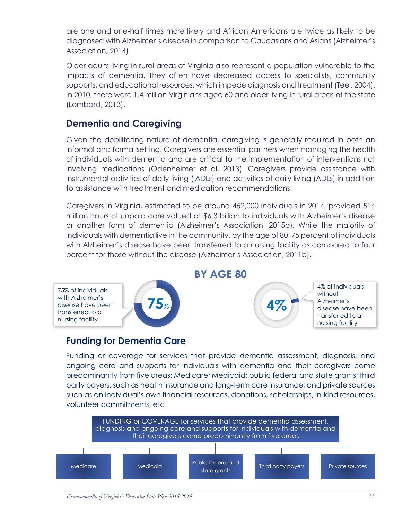are one and one-half times more likely and African Americans are twice as likely to be diagnosed with Alzheimer's disease in comparison to Caucasians and Asians (Alzheimer's Association, 2014).

Older adults living in rural areas of Virginia also represent a population vulnerable to the impacts of dementia. They often have decreased access to specialists, community supports, and educational resources, which impede diagnosis and treatment (Teel, 2004). In 2010, there were 1.4 million Virginians aged 60 and older living in rural areas of the state (Lombard, 2013).

### **Dementia and Caregiving**

Given the debilitating nature of dementia, caregiving is generally required in both an informal and formal setting. Caregivers are essential partners when managing the health of individuals with dementia and are critical to the implementation of interventions not involving medications (Odenheimer et al, 2013). Caregivers provide assistance with instrumental activities of daily living (IADLs) and activities of daily living (ADLs) in addition to assistance with treatment and medication recommendations.

Caregivers in Virginia, estimated to be around 452,000 individuals in 2014, provided 514 million hours of unpaid care valued at \$6.3 billion to individuals with Alzheimer's disease or another form of dementia (Alzheimer's Association, 2015b). While the majority of individuals with dementia live in the community, by the age of 80, 75 percent of individuals with Alzheimer's disease have been transferred to a nursing facility as compared to four percent for those without the disease (Alzheimer's Association, 2011b).

75% of individuals with Alzheimer's disease have been transferred to a nursing facility



### **BY AGE 80**



4% of individuals without Alzheimer's disease have been transferred to a nursing facility

### **Funding for Dementia Care**

Funding or coverage for services that provide dementia assessment, diagnosis, and ongoing care and supports for individuals with dementia and their caregivers come predominantly from five areas: Medicare; Medicaid; public federal and state grants; third party payers, such as health insurance and long-term care insurance; and private sources, such as an individual's own financial resources, donations, scholarships, in-kind resources, volunteer commitments, etc.

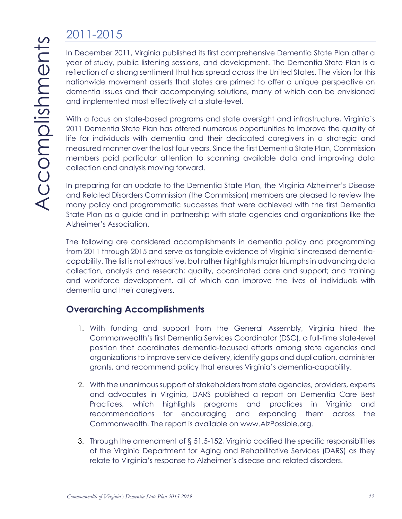# 2011-2015

In December 2011, Virginia published its first comprehensive Dementia State Plan after a year of study, public listening sessions, and development. The Dementia State Plan is a reflection of a strong sentiment that has spread across the United States. The vision for this nationwide movement asserts that states are primed to offer a unique perspective on dementia issues and their accompanying solutions, many of which can be envisioned and implemented most effectively at a state-level.

With a focus on state-based programs and state oversight and infrastructure, Virginia's 2011 Dementia State Plan has offered numerous opportunities to improve the quality of life for individuals with dementia and their dedicated caregivers in a strategic and measured manner over the last four years. Since the first Dementia State Plan, Commission members paid particular attention to scanning available data and improving data collection and analysis moving forward.

In preparing for an update to the Dementia State Plan, the Virginia Alzheimer's Disease and Related Disorders Commission (the Commission) members are pleased to review the many policy and programmatic successes that were achieved with the first Dementia State Plan as a guide and in partnership with state agencies and organizations like the Alzheimer's Association.

The following are considered accomplishments in dementia policy and programming from 2011 through 2015 and serve as tangible evidence of Virginia's increased dementiacapability. The list is not exhaustive, but rather highlights major triumphs in advancing data collection, analysis and research; quality, coordinated care and support; and training and workforce development, all of which can improve the lives of individuals with dementia and their caregivers.

### **Overarching Accomplishments**

- 1. With funding and support from the General Assembly, Virginia hired the Commonwealth's first Dementia Services Coordinator (DSC), a full-time state-level position that coordinates dementia-focused efforts among state agencies and organizations to improve service delivery, identify gaps and duplication, administer grants, and recommend policy that ensures Virginia's dementia-capability.
- 2. With the unanimous support of stakeholders from state agencies, providers, experts and advocates in Virginia, DARS published a report on Dementia Care Best Practices, which highlights programs and practices in Virginia and recommendations for encouraging and expanding them across the Commonwealth. The report is available on www.AlzPossible.org.
- 3. Through the amendment of § 51.5-152, Virginia codified the specific responsibilities of the Virginia Department for Aging and Rehabilitative Services (DARS) as they relate to Virginia's response to Alzheimer's disease and related disorders.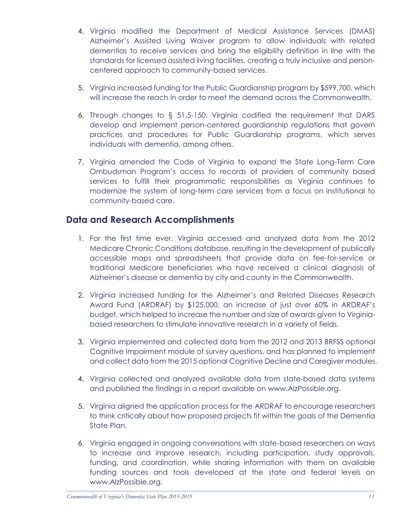- 4. Virginia modified the Department of Medical Assistance Services (DMAS) Alzheimer's Assisted Living Waiver program to allow individuals with related dementias to receive services and bring the eligibility definition in line with the standards for licensed assisted living facilities, creating a truly inclusive and personcentered approach to community-based services.
- 5. Virginia increased funding for the Public Guardianship program by \$599,700, which will increase the reach in order to meet the demand across the Commonwealth.
- 6. Through changes to § 51.5-150, Virginia codified the requirement that DARS develop and implement person-centered guardianship regulations that govern practices and procedures for Public Guardianship programs, which serves individuals with dementia, among others.
- 7. Virginia amended the Code of Virginia to expand the State Long-Term Care Ombudsman Program's access to records of providers of community based services to fulfill their programmatic responsibilities as Virginia continues to modernize the system of long-term care services from a focus on institutional to community-based care.

### **Data and Research Accomplishments**

- 1. For the first time ever, Virginia accessed and analyzed data from the 2012 Medicare Chronic Conditions database, resulting in the development of publically accessible maps and spreadsheets that provide data on fee-for-service or traditional Medicare beneficiaries who have received a clinical diagnosis of Alzheimer's disease or dementia by city and county in the Commonwealth.
- 2. Virginia increased funding for the Alzheimer's and Related Diseases Research Award Fund (ARDRAF) by \$125,000, an increase of just over 60% in ARDRAF's budget, which helped to increase the number and size of awards given to Virginiabased researchers to stimulate innovative research in a variety of fields.
- 3. Virginia implemented and collected data from the 2012 and 2013 BRFSS optional Cognitive Impairment module of survey questions, and has planned to implement and collect data from the 2015 optional Cognitive Decline and Caregiver modules.
- 4. Virginia collected and analyzed available data from state-based data systems and published the findings in a report available on www.AlzPossible.org.
- 5. Virginia aligned the application process for the ARDRAF to encourage researchers to think critically about how proposed projects fit within the goals of the Dementia State Plan.
- 6. Virginia engaged in ongoing conversations with state-based researchers on ways to increase and improve research, including participation, study approvals, funding, and coordination, while sharing information with them on available funding sources and tools developed at the state and federal levels on www.AlzPossible.org.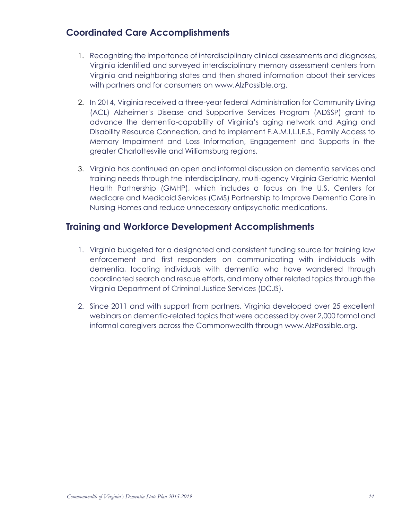## **Coordinated Care Accomplishments**

- 1. Recognizing the importance of interdisciplinary clinical assessments and diagnoses, Virginia identified and surveyed interdisciplinary memory assessment centers from Virginia and neighboring states and then shared information about their services with partners and for consumers on www.AlzPossible.org.
- 2. In 2014, Virginia received a three-year federal Administration for Community Living (ACL) Alzheimer's Disease and Supportive Services Program (ADSSP) grant to advance the dementia-capability of Virginia's aging network and Aging and Disability Resource Connection, and to implement F.A.M.I.L.I.E.S., Family Access to Memory Impairment and Loss Information, Engagement and Supports in the greater Charlottesville and Williamsburg regions.
- 3. Virginia has continued an open and informal discussion on dementia services and training needs through the interdisciplinary, multi-agency Virginia Geriatric Mental Health Partnership (GMHP), which includes a focus on the U.S. Centers for Medicare and Medicaid Services (CMS) Partnership to Improve Dementia Care in Nursing Homes and reduce unnecessary antipsychotic medications.

### **Training and Workforce Development Accomplishments**

- 1. Virginia budgeted for a designated and consistent funding source for training law enforcement and first responders on communicating with individuals with dementia, locating individuals with dementia who have wandered through coordinated search and rescue efforts, and many other related topics through the Virginia Department of Criminal Justice Services (DCJS).
- 2. Since 2011 and with support from partners, Virginia developed over 25 excellent webinars on dementia-related topics that were accessed by over 2,000 formal and informal caregivers across the Commonwealth through www.AlzPossible.org.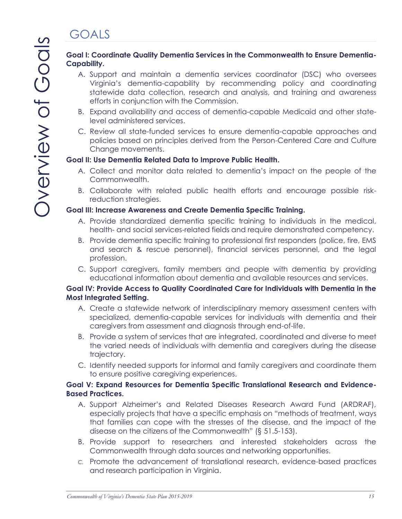# **GOALS**

#### **Goal I: Coordinate Quality Dementia Services in the Commonwealth to Ensure Dementia-Capability.**

- A. Support and maintain a dementia services coordinator (DSC) who oversees Virginia's dementia-capability by recommending policy and coordinating statewide data collection, research and analysis, and training and awareness efforts in conjunction with the Commission.
- B. Expand availability and access of dementia-capable Medicaid and other statelevel administered services.
- C. Review all state-funded services to ensure dementia-capable approaches and policies based on principles derived from the Person-Centered Care and Culture Change movements.

#### **Goal II: Use Dementia Related Data to Improve Public Health.**

- A. Collect and monitor data related to dementia's impact on the people of the Commonwealth.
- B. Collaborate with related public health efforts and encourage possible riskreduction strategies.

#### **Goal III: Increase Awareness and Create Dementia Specific Training.**

- A. Provide standardized dementia specific training to individuals in the medical, health- and social services-related fields and require demonstrated competency.
- B. Provide dementia specific training to professional first responders (police, fire, EMS and search & rescue personnel), financial services personnel, and the legal profession.
- C. Support caregivers, family members and people with dementia by providing educational information about dementia and available resources and services.

#### **Goal IV: Provide Access to Quality Coordinated Care for Individuals with Dementia in the Most Integrated Setting.**

- A. Create a statewide network of interdisciplinary memory assessment centers with specialized, dementia-capable services for individuals with dementia and their caregivers from assessment and diagnosis through end-of-life.
- B. Provide a system of services that are integrated, coordinated and diverse to meet the varied needs of individuals with dementia and caregivers during the disease trajectory.
- C. Identify needed supports for informal and family caregivers and coordinate them to ensure positive caregiving experiences.

#### **Goal V: Expand Resources for Dementia Specific Translational Research and Evidence-Based Practices.**

- A. Support Alzheimer's and Related Diseases Research Award Fund (ARDRAF), especially projects that have a specific emphasis on "methods of treatment, ways that families can cope with the stresses of the disease, and the impact of the disease on the citizens of the Commonwealth" (§ 51.5-153).
- B. Provide support to researchers and interested stakeholders across the Commonwealth through data sources and networking opportunities.
- *C.* Promote the advancement of translational research, evidence-based practices and research participation in Virginia.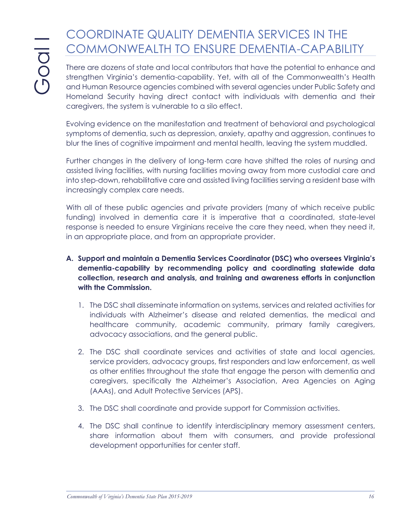# COORDINATE QUALITY DEMENTIA SERVICES IN THE COMMONWEALTH TO ENSURE DEMENTIA-CAPABILITY

There are dozens of state and local contributors that have the potential to enhance and strengthen Virginia's dementia-capability. Yet, with all of the Commonwealth's Health and Human Resource agencies combined with several agencies under Public Safety and Homeland Security having direct contact with individuals with dementia and their caregivers, the system is vulnerable to a silo effect.

Evolving evidence on the manifestation and treatment of behavioral and psychological symptoms of dementia, such as depression, anxiety, apathy and aggression, continues to blur the lines of cognitive impairment and mental health, leaving the system muddled.

Further changes in the delivery of long-term care have shifted the roles of nursing and assisted living facilities, with nursing facilities moving away from more custodial care and into step-down, rehabilitative care and assisted living facilities serving a resident base with increasingly complex care needs.

With all of these public agencies and private providers (many of which receive public funding) involved in dementia care it is imperative that a coordinated, state-level response is needed to ensure Virginians receive the care they need, when they need it, in an appropriate place, and from an appropriate provider.

- **A. Support and maintain a Dementia Services Coordinator (DSC) who oversees Virginia's dementia-capability by recommending policy and coordinating statewide data collection, research and analysis, and training and awareness efforts in conjunction with the Commission.**
	- 1. The DSC shall disseminate information on systems, services and related activities for individuals with Alzheimer's disease and related dementias, the medical and healthcare community, academic community, primary family caregivers, advocacy associations, and the general public.
	- 2. The DSC shall coordinate services and activities of state and local agencies, service providers, advocacy groups, first responders and law enforcement, as well as other entities throughout the state that engage the person with dementia and caregivers, specifically the Alzheimer's Association, Area Agencies on Aging (AAAs), and Adult Protective Services (APS).
	- 3. The DSC shall coordinate and provide support for Commission activities.
	- 4. The DSC shall continue to identify interdisciplinary memory assessment centers, share information about them with consumers, and provide professional development opportunities for center staff.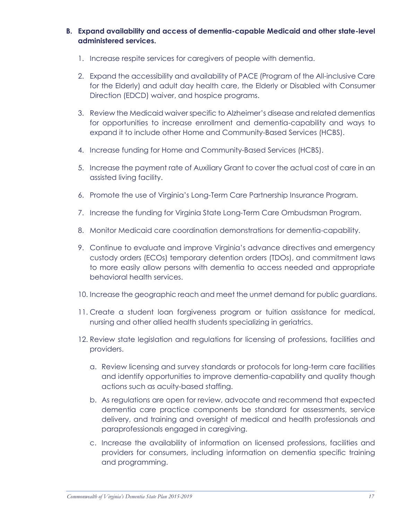#### **B. Expand availability and access of dementia-capable Medicaid and other state-level administered services.**

- 1. Increase respite services for caregivers of people with dementia.
- 2. Expand the accessibility and availability of PACE (Program of the All-inclusive Care for the Elderly) and adult day health care, the Elderly or Disabled with Consumer Direction (EDCD) waiver, and hospice programs.
- 3. Review the Medicaid waiver specific to Alzheimer's disease and related dementias for opportunities to increase enrollment and dementia-capability and ways to expand it to include other Home and Community-Based Services (HCBS).
- 4. Increase funding for Home and Community-Based Services (HCBS).
- 5. Increase the payment rate of Auxiliary Grant to cover the actual cost of care in an assisted living facility.
- 6. Promote the use of Virginia's Long-Term Care Partnership Insurance Program.
- 7. Increase the funding for Virginia State Long-Term Care Ombudsman Program.
- 8. Monitor Medicaid care coordination demonstrations for dementia-capability.
- 9. Continue to evaluate and improve Virginia's advance directives and emergency custody orders (ECOs) temporary detention orders (TDOs), and commitment laws to more easily allow persons with dementia to access needed and appropriate behavioral health services.
- 10. Increase the geographic reach and meet the unmet demand for public guardians.
- 11. Create a student loan forgiveness program or tuition assistance for medical, nursing and other allied health students specializing in geriatrics.
- 12. Review state legislation and regulations for licensing of professions, facilities and providers.
	- a. Review licensing and survey standards or protocols for long-term care facilities and identify opportunities to improve dementia-capability and quality though actions such as acuity-based staffing.
	- b. As regulations are open for review, advocate and recommend that expected dementia care practice components be standard for assessments, service delivery, and training and oversight of medical and health professionals and paraprofessionals engaged in caregiving.
	- c. Increase the availability of information on licensed professions, facilities and providers for consumers, including information on dementia specific training and programming.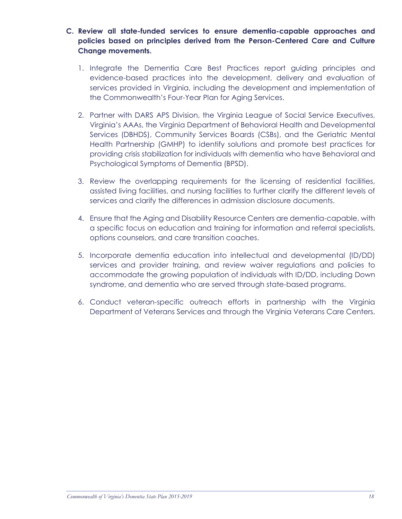- **C. Review all state-funded services to ensure dementia-capable approaches and policies based on principles derived from the Person-Centered Care and Culture Change movements.**
	- 1. Integrate the Dementia Care Best Practices report guiding principles and evidence-based practices into the development, delivery and evaluation of services provided in Virginia, including the development and implementation of the Commonwealth's Four-Year Plan for Aging Services.
	- 2. Partner with DARS APS Division, the Virginia League of Social Service Executives, Virginia's AAAs, the Virginia Department of Behavioral Health and Developmental Services (DBHDS), Community Services Boards (CSBs), and the Geriatric Mental Health Partnership (GMHP) to identify solutions and promote best practices for providing crisis stabilization for individuals with dementia who have Behavioral and Psychological Symptoms of Dementia (BPSD).
	- 3. Review the overlapping requirements for the licensing of residential facilities, assisted living facilities, and nursing facilities to further clarify the different levels of services and clarify the differences in admission disclosure documents.
	- 4. Ensure that the Aging and Disability Resource Centers are dementia-capable, with a specific focus on education and training for information and referral specialists, options counselors, and care transition coaches.
	- 5. Incorporate dementia education into intellectual and developmental (ID/DD) services and provider training, and review waiver regulations and policies to accommodate the growing population of individuals with ID/DD, including Down syndrome, and dementia who are served through state-based programs.
	- 6. Conduct veteran-specific outreach efforts in partnership with the Virginia Department of Veterans Services and through the Virginia Veterans Care Centers.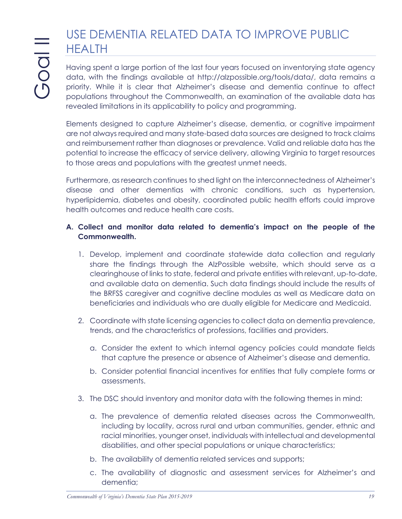# USE DEMENTIA RELATED DATA TO IMPROVE PUBLIC HEALTH

Having spent a large portion of the last four years focused on inventorying state agency data, with the findings available at http://alzpossible.org/tools/data/, data remains a priority. While it is clear that Alzheimer's disease and dementia continue to affect populations throughout the Commonwealth, an examination of the available data has revealed limitations in its applicability to policy and programming.

Elements designed to capture Alzheimer's disease, dementia, or cognitive impairment are not always required and many state-based data sources are designed to track claims and reimbursement rather than diagnoses or prevalence. Valid and reliable data has the potential to increase the efficacy of service delivery, allowing Virginia to target resources to those areas and populations with the greatest unmet needs.

Furthermore, as research continues to shed light on the interconnectedness of Alzheimer's disease and other dementias with chronic conditions, such as hypertension, hyperlipidemia, diabetes and obesity, coordinated public health efforts could improve health outcomes and reduce health care costs.

#### **A. Collect and monitor data related to dementia's impact on the people of the Commonwealth.**

- 1. Develop, implement and coordinate statewide data collection and regularly share the findings through the AlzPossible website, which should serve as a clearinghouse of links to state, federal and private entities with relevant, up-to-date, and available data on dementia. Such data findings should include the results of the BRFSS caregiver and cognitive decline modules as well as Medicare data on beneficiaries and individuals who are dually eligible for Medicare and Medicaid.
- 2. Coordinate with state licensing agencies to collect data on dementia prevalence, trends, and the characteristics of professions, facilities and providers.
	- a. Consider the extent to which internal agency policies could mandate fields that capture the presence or absence of Alzheimer's disease and dementia.
	- b. Consider potential financial incentives for entities that fully complete forms or assessments.
- 3. The DSC should inventory and monitor data with the following themes in mind:
	- a. The prevalence of dementia related diseases across the Commonwealth, including by locality, across rural and urban communities, gender, ethnic and racial minorities, younger onset, individuals with intellectual and developmental disabilities, and other special populations or unique characteristics;
	- b. The availability of dementia related services and supports;
	- c. The availability of diagnostic and assessment services for Alzheimer's and dementia;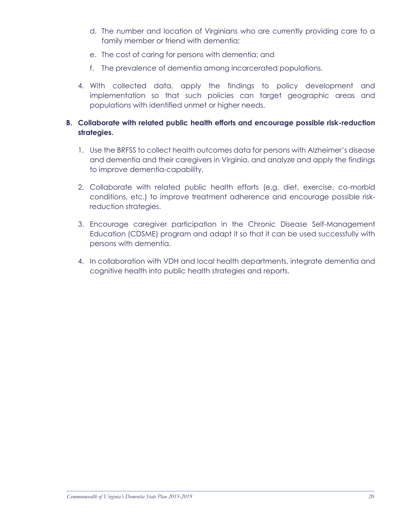- d. The number and location of Virginians who are currently providing care to a family member or friend with dementia;
- e. The cost of caring for persons with dementia; and
- f. The prevalence of dementia among incarcerated populations.
- 4. With collected data, apply the findings to policy development and implementation so that such policies can target geographic areas and populations with identified unmet or higher needs.

#### **B. Collaborate with related public health efforts and encourage possible risk-reduction strategies.**

- 1. Use the BRFSS to collect health outcomes data for persons with Alzheimer's disease and dementia and their caregivers in Virginia, and analyze and apply the findings to improve dementia-capability.
- 2. Collaborate with related public health efforts (e.g. diet, exercise, co-morbid conditions, etc.) to improve treatment adherence and encourage possible riskreduction strategies.
- 3. Encourage caregiver participation in the Chronic Disease Self-Management Education (CDSME) program and adapt it so that it can be used successfully with persons with dementia.
- 4. In collaboration with VDH and local health departments, integrate dementia and cognitive health into public health strategies and reports.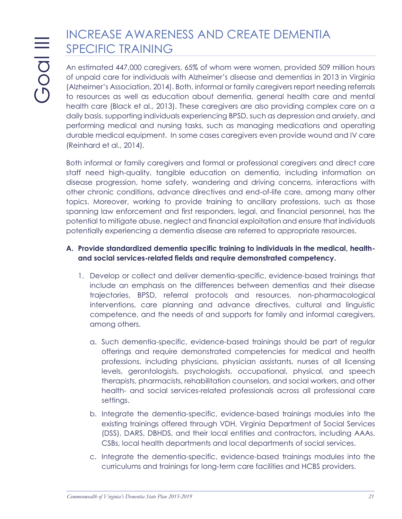# INCREASE AWARENESS AND CREATE DEMENTIA SPECIFIC TRAINING

An estimated 447,000 caregivers, 65% of whom were women, provided 509 million hours of unpaid care for individuals with Alzheimer's disease and dementias in 2013 in Virginia (Alzheimer's Association, 2014). Both, informal or family caregivers report needing referrals to resources as well as education about dementia, general health care and mental health care (Black et al., 2013). These caregivers are also providing complex care on a daily basis, supporting individuals experiencing BPSD, such as depression and anxiety, and performing medical and nursing tasks, such as managing medications and operating durable medical equipment. In some cases caregivers even provide wound and IV care (Reinhard et al., 2014).

Both informal or family caregivers and formal or professional caregivers and direct care staff need high-quality, tangible education on dementia, including information on disease progression, home safety, wandering and driving concerns, interactions with other chronic conditions, advance directives and end-of-life care, among many other topics. Moreover, working to provide training to ancillary professions, such as those spanning law enforcement and first responders, legal, and financial personnel, has the potential to mitigate abuse, neglect and financial exploitation and ensure that individuals potentially experiencing a dementia disease are referred to appropriate resources.

#### **A. Provide standardized dementia specific training to individuals in the medical, healthand social services-related fields and require demonstrated competency.**

- 1. Develop or collect and deliver dementia-specific, evidence-based trainings that include an emphasis on the differences between dementias and their disease trajectories, BPSD, referral protocols and resources, non-pharmacological interventions, care planning and advance directives, cultural and linguistic competence, and the needs of and supports for family and informal caregivers, among others.
	- a. Such dementia-specific, evidence-based trainings should be part of regular offerings and require demonstrated competencies for medical and health professions, including physicians, physician assistants, nurses of all licensing levels, gerontologists, psychologists, occupational, physical, and speech therapists, pharmacists, rehabilitation counselors, and social workers, and other health- and social services-related professionals across all professional care settings.
	- b. Integrate the dementia-specific, evidence-based trainings modules into the existing trainings offered through VDH, Virginia Department of Social Services (DSS), DARS, DBHDS, and their local entities and contractors, including AAAs, CSBs, local health departments and local departments of social services.
	- c. Integrate the dementia-specific, evidence-based trainings modules into the curriculums and trainings for long-term care facilities and HCBS providers.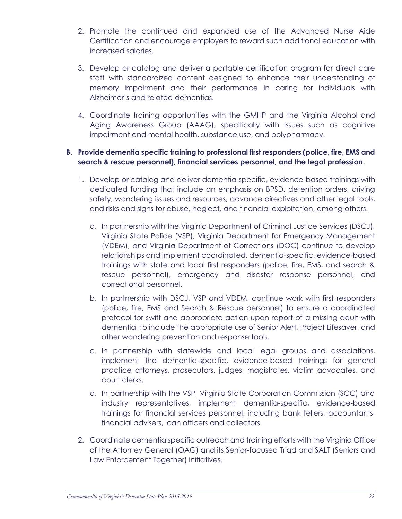- 2. Promote the continued and expanded use of the Advanced Nurse Aide Certification and encourage employers to reward such additional education with increased salaries.
- 3. Develop or catalog and deliver a portable certification program for direct care staff with standardized content designed to enhance their understanding of memory impairment and their performance in caring for individuals with Alzheimer's and related dementias.
- 4. Coordinate training opportunities with the GMHP and the Virginia Alcohol and Aging Awareness Group (AAAG), specifically with issues such as cognitive impairment and mental health, substance use, and polypharmacy.

#### **B. Provide dementia specific training to professional first responders (police, fire, EMS and search & rescue personnel), financial services personnel, and the legal profession.**

- 1. Develop or catalog and deliver dementia-specific, evidence-based trainings with dedicated funding that include an emphasis on BPSD, detention orders, driving safety, wandering issues and resources, advance directives and other legal tools, and risks and signs for abuse, neglect, and financial exploitation, among others.
	- a. In partnership with the Virginia Department of Criminal Justice Services (DSCJ), Virginia State Police (VSP), Virginia Department for Emergency Management (VDEM), and Virginia Department of Corrections (DOC) continue to develop relationships and implement coordinated, dementia-specific, evidence-based trainings with state and local first responders (police, fire, EMS, and search & rescue personnel), emergency and disaster response personnel, and correctional personnel.
	- b. In partnership with DSCJ, VSP and VDEM, continue work with first responders (police, fire, EMS and Search & Rescue personnel) to ensure a coordinated protocol for swift and appropriate action upon report of a missing adult with dementia, to include the appropriate use of Senior Alert, Project Lifesaver, and other wandering prevention and response tools.
	- c. In partnership with statewide and local legal groups and associations, implement the dementia-specific, evidence-based trainings for general practice attorneys, prosecutors, judges, magistrates, victim advocates, and court clerks.
	- d. In partnership with the VSP, Virginia State Corporation Commission (SCC) and industry representatives, implement dementia-specific, evidence-based trainings for financial services personnel, including bank tellers, accountants, financial advisers, loan officers and collectors.
- 2. Coordinate dementia specific outreach and training efforts with the Virginia Office of the Attorney General (OAG) and its Senior-focused Triad and SALT (Seniors and Law Enforcement Together) initiatives.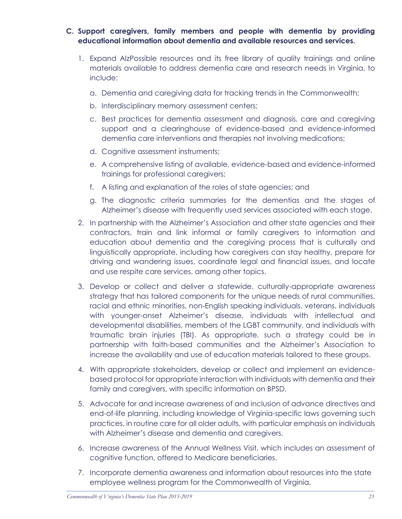- **C. Support caregivers, family members and people with dementia by providing educational information about dementia and available resources and services.**
	- 1. Expand AlzPossible resources and its free library of quality trainings and online materials available to address dementia care and research needs in Virginia, to include:
		- a. Dementia and caregiving data for tracking trends in the Commonwealth;
		- b. Interdisciplinary memory assessment centers;
		- c. Best practices for dementia assessment and diagnosis, care and caregiving support and a clearinghouse of evidence-based and evidence-informed dementia care interventions and therapies not involving medications;
		- d. Cognitive assessment instruments;
		- e. A comprehensive listing of available, evidence-based and evidence-informed trainings for professional caregivers;
		- f. A listing and explanation of the roles of state agencies; and
		- g. The diagnostic criteria summaries for the dementias and the stages of Alzheimer's disease with frequently used services associated with each stage.
	- 2. In partnership with the Alzheimer's Association and other state agencies and their contractors, train and link informal or family caregivers to information and education about dementia and the caregiving process that is culturally and linguistically appropriate, including how caregivers can stay healthy, prepare for driving and wandering issues, coordinate legal and financial issues, and locate and use respite care services, among other topics.
	- 3. Develop or collect and deliver a statewide, culturally-appropriate awareness strategy that has tailored components for the unique needs of rural communities, racial and ethnic minorities, non-English speaking individuals, veterans, individuals with younger-onset Alzheimer's disease, individuals with intellectual and developmental disabilities, members of the LGBT community, and individuals with traumatic brain injuries (TBI). As appropriate, such a strategy could be in partnership with faith-based communities and the Alzheimer's Association to increase the availability and use of education materials tailored to these groups.
	- 4. With appropriate stakeholders, develop or collect and implement an evidencebased protocol for appropriate interaction with individuals with dementia and their family and caregivers, with specific information on BPSD.
	- 5. Advocate for and increase awareness of and inclusion of advance directives and end-of-life planning, including knowledge of Virginia-specific laws governing such practices, in routine care for all older adults, with particular emphasis on individuals with Alzheimer's disease and dementia and caregivers.
	- 6. Increase awareness of the Annual Wellness Visit, which includes an assessment of cognitive function, offered to Medicare beneficiaries.
	- 7. Incorporate dementia awareness and information about resources into the state employee wellness program for the Commonwealth of Virginia.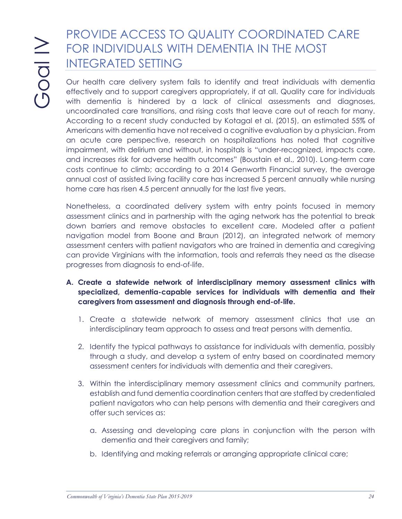# PROVIDE ACCESS TO QUALITY COORDINATED CARE FOR INDIVIDUALS WITH DEMENTIA IN THE MOST INTEGRATED SETTING

Our health care delivery system fails to identify and treat individuals with dementia effectively and to support caregivers appropriately, if at all. Quality care for individuals with dementia is hindered by a lack of clinical assessments and diagnoses, uncoordinated care transitions, and rising costs that leave care out of reach for many. According to a recent study conducted by Kotagal et al. (2015), an estimated 55% of Americans with dementia have not received a cognitive evaluation by a physician. From an acute care perspective, research on hospitalizations has noted that cognitive impairment, with delirium and without, in hospitals is "under-recognized, impacts care, and increases risk for adverse health outcomes" (Boustain et al., 2010). Long-term care costs continue to climb; according to a 2014 Genworth Financial survey, the average annual cost of assisted living facility care has increased 5 percent annually while nursing home care has risen 4.5 percent annually for the last five years.

Nonetheless, a coordinated delivery system with entry points focused in memory assessment clinics and in partnership with the aging network has the potential to break down barriers and remove obstacles to excellent care. Modeled after a patient navigation model from Boone and Braun (2012), an integrated network of memory assessment centers with patient navigators who are trained in dementia and caregiving can provide Virginians with the information, tools and referrals they need as the disease progresses from diagnosis to end-of-life.

- **A. Create a statewide network of interdisciplinary memory assessment clinics with specialized, dementia-capable services for individuals with dementia and their caregivers from assessment and diagnosis through end-of-life.**
	- 1. Create a statewide network of memory assessment clinics that use an interdisciplinary team approach to assess and treat persons with dementia.
	- 2. Identify the typical pathways to assistance for individuals with dementia, possibly through a study, and develop a system of entry based on coordinated memory assessment centers for individuals with dementia and their caregivers.
	- 3. Within the interdisciplinary memory assessment clinics and community partners, establish and fund dementia coordination centers that are staffed by credentialed patient navigators who can help persons with dementia and their caregivers and offer such services as:
		- a. Assessing and developing care plans in conjunction with the person with dementia and their caregivers and family;
		- b. Identifying and making referrals or arranging appropriate clinical care;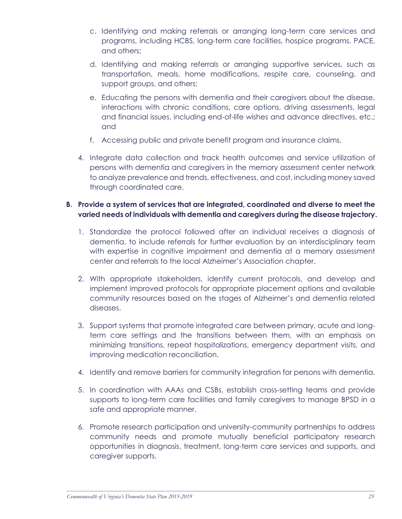- c. Identifying and making referrals or arranging long-term care services and programs, including HCBS, long-term care facilities, hospice programs, PACE, and others;
- d. Identifying and making referrals or arranging supportive services, such as transportation, meals, home modifications, respite care, counseling, and support groups, and others;
- e. Educating the persons with dementia and their caregivers about the disease, interactions with chronic conditions, care options, driving assessments, legal and financial issues, including end-of-life wishes and advance directives, etc.; and
- f. Accessing public and private benefit program and insurance claims.
- 4. Integrate data collection and track health outcomes and service utilization of persons with dementia and caregivers in the memory assessment center network to analyze prevalence and trends, effectiveness, and cost, including money saved through coordinated care.

#### **B. Provide a system of services that are integrated, coordinated and diverse to meet the varied needs of individuals with dementia and caregivers during the disease trajectory.**

- 1. Standardize the protocol followed after an individual receives a diagnosis of dementia, to include referrals for further evaluation by an interdisciplinary team with expertise in cognitive impairment and dementia at a memory assessment center and referrals to the local Alzheimer's Association chapter.
- 2. With appropriate stakeholders, identify current protocols, and develop and implement improved protocols for appropriate placement options and available community resources based on the stages of Alzheimer's and dementia related diseases.
- 3. Support systems that promote integrated care between primary, acute and longterm care settings and the transitions between them, with an emphasis on minimizing transitions, repeat hospitalizations, emergency department visits, and improving medication reconciliation.
- 4. Identify and remove barriers for community integration for persons with dementia.
- 5. In coordination with AAAs and CSBs, establish cross-setting teams and provide supports to long-term care facilities and family caregivers to manage BPSD in a safe and appropriate manner.
- 6. Promote research participation and university-community partnerships to address community needs and promote mutually beneficial participatory research opportunities in diagnosis, treatment, long-term care services and supports, and caregiver supports.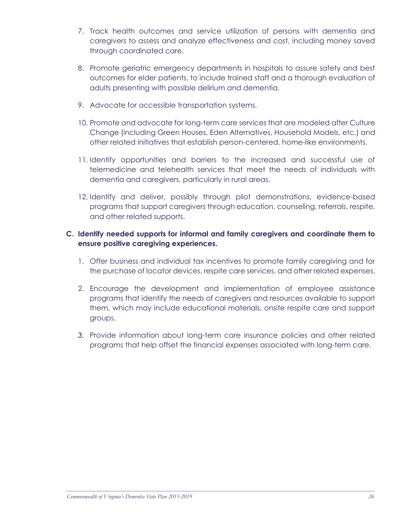- 7. Track health outcomes and service utilization of persons with dementia and caregivers to assess and analyze effectiveness and cost, including money saved through coordinated care.
- 8. Promote geriatric emergency departments in hospitals to assure safety and best outcomes for elder patients, to include trained staff and a thorough evaluation of adults presenting with possible delirium and dementia.
- 9. Advocate for accessible transportation systems.
- 10. Promote and advocate for long-term care services that are modeled after Culture Change (including Green Houses, Eden Alternatives, Household Models, etc.) and other related initiatives that establish person-centered, home-like environments.
- 11. Identify opportunities and barriers to the increased and successful use of telemedicine and telehealth services that meet the needs of individuals with dementia and caregivers, particularly in rural areas.
- 12. Identify and deliver, possibly through pilot demonstrations, evidence-based programs that support caregivers through education, counseling, referrals, respite, and other related supports.

#### **C. Identify needed supports for informal and family caregivers and coordinate them to ensure positive caregiving experiences.**

- 1. Offer business and individual tax incentives to promote family caregiving and for the purchase of locator devices, respite care services, and other related expenses.
- 2. Encourage the development and implementation of employee assistance programs that identify the needs of caregivers and resources available to support them, which may include educational materials, onsite respite care and support groups.
- 3. Provide information about long-term care insurance policies and other related programs that help offset the financial expenses associated with long-term care.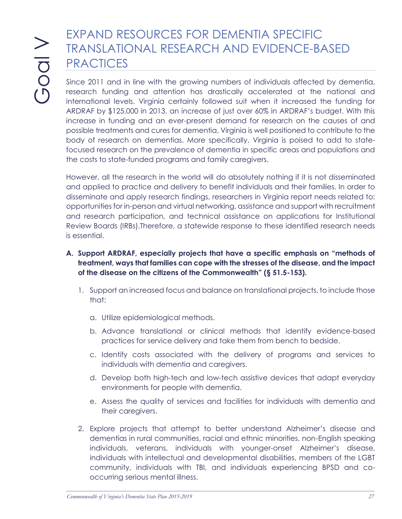# EXPAND RESOURCES FOR DEMENTIA SPECIFIC TRANSLATIONAL RESEARCH AND EVIDENCE-BASED **PRACTICES**

Since 2011 and in line with the growing numbers of individuals affected by dementia, research funding and attention has drastically accelerated at the national and international levels. Virginia certainly followed suit when it increased the funding for ARDRAF by \$125,000 in 2013, an increase of just over 60% in ARDRAF's budget. With this increase in funding and an ever-present demand for research on the causes of and possible treatments and cures for dementia, Virginia is well positioned to contribute to the body of research on dementias. More specifically, Virginia is poised to add to statefocused research on the prevalence of dementia in specific areas and populations and the costs to state-funded programs and family caregivers.

However, all the research in the world will do absolutely nothing if it is not disseminated and applied to practice and delivery to benefit individuals and their families. In order to disseminate and apply research findings, researchers in Virginia report needs related to: opportunities for in-person and virtual networking, assistance and support with recruitment and research participation, and technical assistance on applications for Institutional Review Boards (IRBs).Therefore, a statewide response to these identified research needs is essential.

- **A. Support ARDRAF, especially projects that have a specific emphasis on "methods of treatment, ways that families can cope with the stresses of the disease, and the impact of the disease on the citizens of the Commonwealth" (§ 51.5-153).**
	- 1. Support an increased focus and balance on translational projects, to include those that:
		- a. Utilize epidemiological methods.
		- b. Advance translational or clinical methods that identify evidence-based practices for service delivery and take them from bench to bedside.
		- c. Identify costs associated with the delivery of programs and services to individuals with dementia and caregivers.
		- d. Develop both high-tech and low-tech assistive devices that adapt everyday environments for people with dementia.
		- e. Assess the quality of services and facilities for individuals with dementia and their caregivers.
	- 2. Explore projects that attempt to better understand Alzheimer's disease and dementias in rural communities, racial and ethnic minorities, non-English speaking individuals, veterans, individuals with younger-onset Alzheimer's disease, individuals with intellectual and developmental disabilities, members of the LGBT community, individuals with TBI, and individuals experiencing BPSD and cooccurring serious mental illness.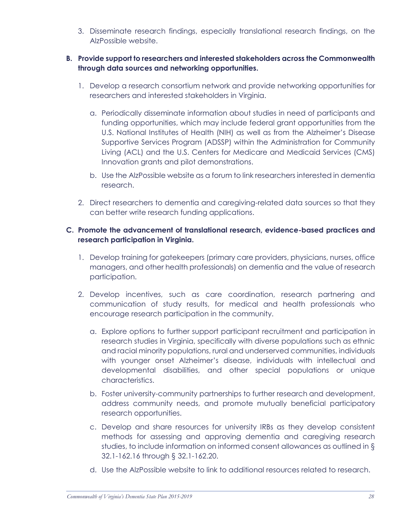3. Disseminate research findings, especially translational research findings, on the AlzPossible website.

#### **B. Provide support to researchers and interested stakeholders across the Commonwealth through data sources and networking opportunities.**

- 1. Develop a research consortium network and provide networking opportunities for researchers and interested stakeholders in Virginia.
	- a. Periodically disseminate information about studies in need of participants and funding opportunities, which may include federal grant opportunities from the U.S. National Institutes of Health (NIH) as well as from the Alzheimer's Disease Supportive Services Program (ADSSP) within the Administration for Community Living (ACL) and the U.S. Centers for Medicare and Medicaid Services (CMS) Innovation grants and pilot demonstrations.
	- b. Use the AlzPossible website as a forum to link researchers interested in dementia research.
- 2. Direct researchers to dementia and caregiving-related data sources so that they can better write research funding applications.

#### **C. Promote the advancement of translational research, evidence-based practices and research participation in Virginia.**

- 1. Develop training for gatekeepers (primary care providers, physicians, nurses, office managers, and other health professionals) on dementia and the value of research participation.
- 2. Develop incentives, such as care coordination, research partnering and communication of study results, for medical and health professionals who encourage research participation in the community.
	- a. Explore options to further support participant recruitment and participation in research studies in Virginia, specifically with diverse populations such as ethnic and racial minority populations, rural and underserved communities, individuals with younger onset Alzheimer's disease, individuals with intellectual and developmental disabilities, and other special populations or unique characteristics.
	- b. Foster university-community partnerships to further research and development, address community needs, and promote mutually beneficial participatory research opportunities.
	- c. Develop and share resources for university IRBs as they develop consistent methods for assessing and approving dementia and caregiving research studies, to include information on informed consent allowances as outlined in § 32.1-162.16 through § 32.1-162.20.
	- d. Use the AlzPossible website to link to additional resources related to research.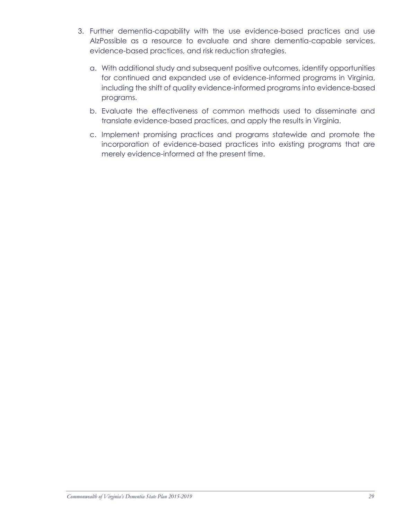- 3. Further dementia-capability with the use evidence-based practices and use AlzPossible as a resource to evaluate and share dementia-capable services, evidence-based practices, and risk reduction strategies.
	- a. With additional study and subsequent positive outcomes, identify opportunities for continued and expanded use of evidence-informed programs in Virginia, including the shift of quality evidence-informed programs into evidence-based programs.
	- b. Evaluate the effectiveness of common methods used to disseminate and translate evidence-based practices, and apply the results in Virginia.
	- c. Implement promising practices and programs statewide and promote the incorporation of evidence-based practices into existing programs that are merely evidence-informed at the present time.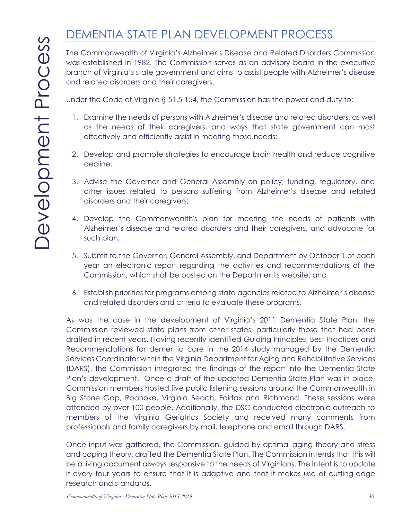# DEMENTIA STATE PLAN DEVELOPMENT PROCESS

The Commonwealth of Virginia's Alzheimer's Disease and Related Disorders Commission was established in 1982. The Commission serves as an advisory board in the executive branch of Virginia's state government and aims to assist people with Alzheimer's disease and related disorders and their caregivers.

Under the Code of Virginia § 51.5-154, the Commission has the power and duty to:

- 1. Examine the needs of persons with Alzheimer's disease and related disorders, as well as the needs of their caregivers, and ways that state government can most effectively and efficiently assist in meeting those needs;
- 2. Develop and promote strategies to encourage brain health and reduce cognitive decline;
- 3. Advise the Governor and General Assembly on policy, funding, regulatory, and other issues related to persons suffering from Alzheimer's disease and related disorders and their caregivers;
- 4. Develop the Commonwealth's plan for meeting the needs of patients with Alzheimer's disease and related disorders and their caregivers, and advocate for such plan;
- 5. Submit to the Governor, General Assembly, and Department by October 1 of each year an electronic report regarding the activities and recommendations of the Commission, which shall be posted on the Department's website; and
- 6. Establish priorities for programs among state agencies related to Alzheimer's disease and related disorders and criteria to evaluate these programs.

As was the case in the development of Virginia's 2011 Dementia State Plan, the Commission reviewed state plans from other states, particularly those that had been drafted in recent years. Having recently identified Guiding Principles, Best Practices and Recommendations for dementia care in the 2014 study managed by the Dementia Services Coordinator within the Virginia Department for Aging and Rehabilitative Services (DARS), the Commission integrated the findings of the report into the Dementia State Plan's development. Once a draft of the updated Dementia State Plan was in place, Commission members hosted five public listening sessions around the Commonwealth in Big Stone Gap, Roanoke, Virginia Beach, Fairfax and Richmond. These sessions were attended by over 100 people. Additionally, the DSC conducted electronic outreach to members of the Virginia Geriatrics Society and received many comments from professionals and family caregivers by mail, telephone and email through DARS.

Once input was gathered, the Commission, guided by optimal aging theory and stress and coping theory, drafted the Dementia State Plan. The Commission intends that this will be a living document always responsive to the needs of Virginians. The intent is to update it every four years to ensure that it is adaptive and that it makes use of cutting-edge research and standards.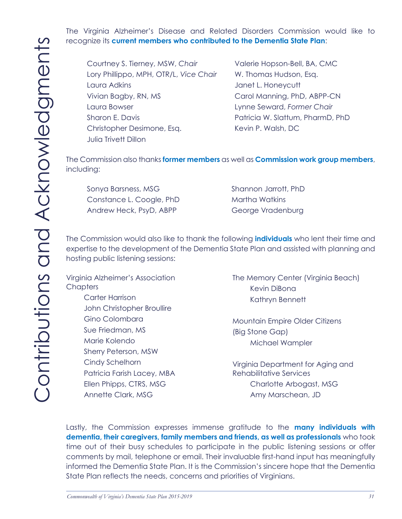The Virginia Alzheimer's Disease and Related Disorders Commission would like to recognize its **current members who contributed to the Dementia State Plan**:

Courtney S. Tierney, MSW, *Chair* Valerie Hopson-Bell, BA, CMC Lory Phillippo, MPH, OTR/L, Vice Chair W. Thomas Hudson, Esq. Laura Adkins **Laura Additional Community** Janet L. Honeycutt Vivian Bagby, RN, MS Carol Manning, PhD, ABPP-CN Laura Bowser Lynne Seward, *Former Chair* Sharon E. Davis **Patricia W. Slattum, PharmD, PhD** Christopher Desimone, Esq. Kevin P. Walsh, DC Julia Trivett Dillon

The Commission also thanks **former members** as well as **Commission work group members**, including:

Sonya Barsness, MSG Shannon Jarrott, PhD Constance L. Coogle, PhD Martha Watkins Andrew Heck, PsyD, ABPP George Vradenburg

The Commission would also like to thank the following **individuals** who lent their time and expertise to the development of the Dementia State Plan and assisted with planning and hosting public listening sessions:

Virginia Alzheimer's Association **Chapters** 

> Carter Harrison John Christopher Broullire Gino Colombara Sue Friedman, MS Marie Kolendo Sherry Peterson, MSW Cindy Schelhorn Patricia Farish Lacey, MBA Ellen Phipps, CTRS, MSG Annette Clark, MSG

The Memory Center (Virginia Beach) Kevin DiBona Kathryn Bennett

Mountain Empire Older Citizens (Big Stone Gap) Michael Wampler

Virginia Department for Aging and Rehabilitative Services Charlotte Arbogast, MSG Amy Marschean, JD

Lastly, the Commission expresses immense gratitude to the **many individuals with dementia, their caregivers, family members and friends, as well as professionals** who took time out of their busy schedules to participate in the public listening sessions or offer comments by mail, telephone or email. Their invaluable first-hand input has meaningfully informed the Dementia State Plan. It is the Commission's sincere hope that the Dementia State Plan reflects the needs, concerns and priorities of Virginians.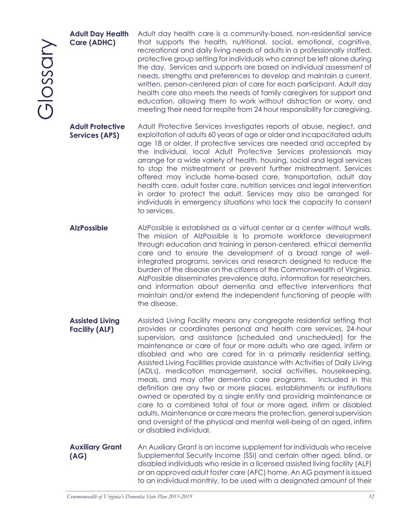Glossary

#### **Adult Day Health Care (ADHC)**

Adult day health care is a community-based, non-residential service that supports the health, nutritional, social, emotional, cognitive, recreational and daily living needs of adults in a professionally staffed, protective group setting for individuals who cannot be left alone during the day. Services and supports are based on individual assessment of needs, strengths and preferences to develop and maintain a current, written, person-centered plan of care for each participant. Adult day health care also meets the needs of family caregivers for support and education, allowing them to work without distraction or worry, and meeting their need for respite from 24 hour responsibility for caregiving.

**Adult Protective Services (APS)** Adult Protective Services investigates reports of abuse, neglect, and exploitation of adults 60 years of age or older and incapacitated adults age 18 or older. If protective services are needed and accepted by the individual, local Adult Protective Services professionals may arrange for a wide variety of health, housing, social and legal services to stop the mistreatment or prevent further mistreatment. Services offered may include home-based care, transportation, adult day health care, adult foster care, nutrition services and legal intervention in order to protect the adult. Services may also be arranged for individuals in emergency situations who lack the capacity to consent to services.

AlzPossible AlzPossible is established as a virtual center or a center without walls. The mission of AlzPossible is to promote workforce development through education and training in person-centered, ethical dementia care and to ensure the development of a broad range of wellintegrated programs, services and research designed to reduce the burden of the disease on the citizens of the Commonwealth of Virginia. AlzPossible disseminates prevalence data, information for researchers, and information about dementia and effective interventions that maintain and/or extend the independent functioning of people with the disease.

**Assisted Living Facility (ALF)** Assisted Living Facility means any congregate residential setting that provides or coordinates personal and health care services, 24-hour supervision, and assistance (scheduled and unscheduled) for the maintenance or care of four or more adults who are aged, infirm or disabled and who are cared for in a primarily residential setting. Assisted Living Facilities provide assistance with Activities of Daily Living (ADLs), medication management, social activities, housekeeping, meals, and may offer dementia care programs. Included in this definition are any two or more places, establishments or institutions owned or operated by a single entity and providing maintenance or care to a combined total of four or more aged, infirm or disabled adults. Maintenance or care means the protection, general supervision and oversight of the physical and mental well-being of an aged, infirm or disabled individual.

#### **Auxiliary Grant (AG)**

An Auxiliary Grant is an income supplement for individuals who receive Supplemental Security Income (SSI) and certain other aged, blind, or disabled individuals who reside in a licensed assisted living facility (ALF) or an approved adult foster care (AFC) home. An AG payment is issued to an individual monthly, to be used with a designated amount of their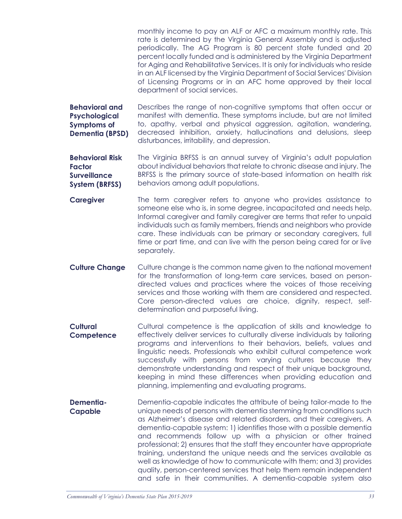monthly income to pay an ALF or AFC a maximum monthly rate. This rate is determined by the Virginia General Assembly and is adjusted periodically. The AG Program is 80 percent state funded and 20 percent locally funded and is administered by the Virginia Department for Aging and Rehabilitative Services. It is only for individuals who reside in an ALF licensed by the Virginia Department of Social Services' Division of Licensing Programs or in an AFC home approved by their local department of social services.

**Behavioral and Psychological Symptoms of Dementia (BPSD)** Describes the range of non-cognitive symptoms that often occur or manifest with dementia. These symptoms include, but are not limited to, apathy, verbal and physical aggression, agitation, wandering, decreased inhibition, anxiety, hallucinations and delusions, sleep disturbances, irritability, and depression.

**Behavioral Risk Factor Surveillance System (BRFSS)** The Virginia BRFSS is an annual survey of Virginia's adult population about individual behaviors that relate to chronic disease and injury. The BRFSS is the primary source of state-based information on health risk behaviors among adult populations.

- **Caregiver** The term caregiver refers to anyone who provides assistance to someone else who is, in some degree, incapacitated and needs help. Informal caregiver and family caregiver are terms that refer to unpaid individuals such as family members, friends and neighbors who provide care. These individuals can be primary or secondary caregivers, full time or part time, and can live with the person being cared for or live separately.
- **Culture Change** Culture change is the common name given to the national movement for the transformation of long-term care services, based on persondirected values and practices where the voices of those receiving services and those working with them are considered and respected. Core person-directed values are choice, dignity, respect, selfdetermination and purposeful living.
- **Cultural Competence** Cultural competence is the application of skills and knowledge to effectively deliver services to culturally diverse individuals by tailoring programs and interventions to their behaviors, beliefs, values and linguistic needs. Professionals who exhibit cultural competence work successfully with persons from varying cultures because they demonstrate understanding and respect of their unique background, keeping in mind these differences when providing education and planning, implementing and evaluating programs.
- **Dementia-Capable** Dementia-capable indicates the attribute of being tailor-made to the unique needs of persons with dementia stemming from conditions such as Alzheimer's disease and related disorders, and their caregivers. A dementia-capable system: 1) identifies those with a possible dementia and recommends follow up with a physician or other trained professional; 2) ensures that the staff they encounter have appropriate training, understand the unique needs and the services available as well as knowledge of how to communicate with them; and 3) provides quality, person-centered services that help them remain independent and safe in their communities. A dementia-capable system also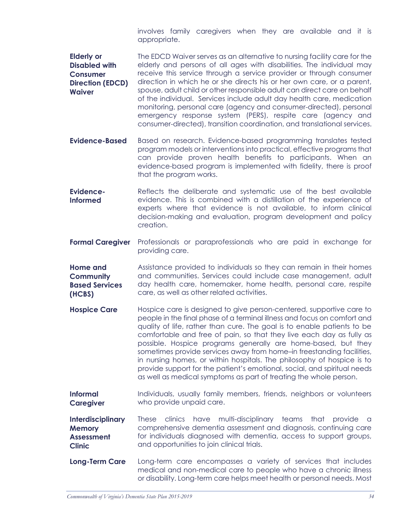involves family caregivers when they are available and it is appropriate.

**Elderly or Disabled with Consumer Direction (EDCD) Waiver** The EDCD Waiver serves as an alternative to nursing facility care for the elderly and persons of all ages with disabilities. The individual may receive this service through a service provider or through consumer direction in which he or she directs his or her own care, or a parent, spouse, adult child or other responsible adult can direct care on behalf of the individual. Services include adult day health care, medication monitoring, personal care (agency and consumer-directed), personal emergency response system (PERS), respite care (agency and consumer-directed), transition coordination, and translational services.

- **Evidence-Based** Based on research. Evidence-based programming translates tested program models or interventions into practical, effective programs that can provide proven health benefits to participants. When an evidence-based program is implemented with fidelity, there is proof that the program works.
- **Evidence-Informed** Reflects the deliberate and systematic use of the best available evidence. This is combined with a distillation of the experience of experts where that evidence is not available, to inform clinical decision-making and evaluation, program development and policy creation.
- **Formal Caregiver** Professionals or paraprofessionals who are paid in exchange for providing care.

**Home and Community Based Services (HCBS)** Assistance provided to individuals so they can remain in their homes and communities. Services could include case management, adult day health care, homemaker, home health, personal care, respite care, as well as other related activities.

- **Hospice Care** Hospice care is designed to give person-centered, supportive care to people in the final phase of a terminal illness and focus on comfort and quality of life, rather than cure. The goal is to enable patients to be comfortable and free of pain, so that they live each day as fully as possible. Hospice programs generally are home-based, but they sometimes provide services away from home–in freestanding facilities, in nursing homes, or within hospitals. The philosophy of hospice is to provide support for the patient's emotional, social, and spiritual needs as well as medical symptoms as part of treating the whole person.
- **Informal Caregiver** Individuals, usually family members, friends, neighbors or volunteers who provide unpaid care.
- **Interdisciplinary Memory Assessment Clinic** These clinics have multi-disciplinary teams that provide a comprehensive dementia assessment and diagnosis, continuing care for individuals diagnosed with dementia, access to support groups, and opportunities to join clinical trials.
- **Long-Term Care** Long-term care encompasses a variety of services that includes medical and non-medical care to people who have a chronic illness or disability. Long-term care helps meet health or personal needs. Most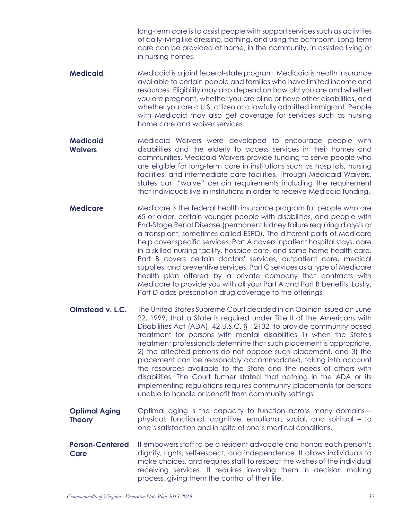long-term care is to assist people with support services such as activities of daily living like dressing, bathing, and using the bathroom. Long-term care can be provided at home, in the community, in assisted living or in nursing homes.

- **Medicaid** Medicaid is a joint federal-state program. Medicaid is health insurance available to certain people and families who have limited income and resources. Eligibility may also depend on how old you are and whether you are pregnant, whether you are blind or have other disabilities, and whether you are a U.S. citizen or a lawfully admitted immigrant. People with Medicaid may also get coverage for services such as nursing home care and waiver services.
- **Medicaid Waivers** Medicaid Waivers were developed to encourage people with disabilities and the elderly to access services in their homes and communities. Medicaid Waivers provide funding to serve people who are eligible for long-term care in institutions such as hospitals, nursing facilities, and intermediate-care facilities. Through Medicaid Waivers, states can "waive" certain requirements including the requirement that individuals live in institutions in order to receive Medicaid funding.
- **Medicare** Medicare is the federal health insurance program for people who are 65 or older, certain younger people with disabilities, and people with End-Stage Renal Disease (permanent kidney failure requiring dialysis or a transplant, sometimes called ESRD). The different parts of Medicare help cover specific services. Part A covers inpatient hospital stays, care in a skilled nursing facility, hospice care, and some home health care. Part B covers certain doctors' services, outpatient care, medical supplies, and preventive services. Part C services as a type of Medicare health plan offered by a private company that contracts with Medicare to provide you with all your Part A and Part B benefits. Lastly, Part D adds prescription drug coverage to the offerings.
- **Olmstead v. L.C.** The United States Supreme Court decided in an Opinion issued on June 22, 1999, that a State is required under Title II of the Americans with Disabilities Act (ADA), 42 U.S.C. § 12132, to provide community-based treatment for persons with mental disabilities 1) when the State's treatment professionals determine that such placement is appropriate, 2) the affected persons do not oppose such placement, and 3) the placement can be reasonably accommodated, taking into account the resources available to the State and the needs of others with disabilities. The Court further stated that nothing in the ADA or its implementing regulations requires community placements for persons unable to handle or benefit from community settings.
- **Optimal Aging Theory** Optimal aging is the capacity to function across many domains physical, functional, cognitive, emotional, social, and spiritual – to one's satisfaction and in spite of one's medical conditions.
- **Person-Centered Care** It empowers staff to be a resident advocate and honors each person's dignity, rights, self-respect, and independence. It allows individuals to make choices, and requires staff to respect the wishes of the individual receiving services. It requires involving them in decision making process, giving them the control of their life.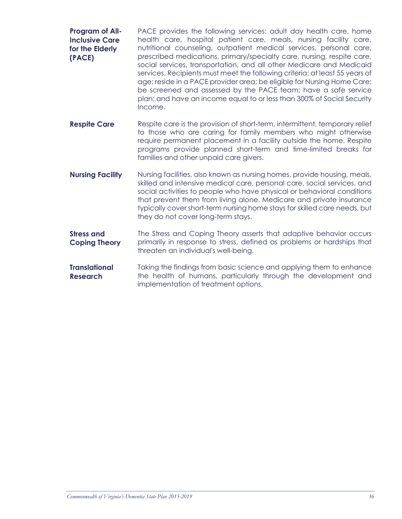| Program of All-<br><b>Inclusive Care</b><br>for the Elderly<br>(PACE) | PACE provides the following services: adult day health care, home<br>health care, hospital patient care, meals, nursing facility care,<br>nutritional counseling, outpatient medical services, personal care,<br>prescribed medications, primary/specialty care, nursing, respite care,<br>social services, transportation, and all other Medicare and Medicaid<br>services. Recipients must meet the following criteria: at least 55 years of<br>age; reside in a PACE provider area; be eligible for Nursing Home Care;<br>be screened and assessed by the PACE team; have a safe service<br>plan; and have an income equal to or less than 300% of Social Security<br>Income. |
|-----------------------------------------------------------------------|----------------------------------------------------------------------------------------------------------------------------------------------------------------------------------------------------------------------------------------------------------------------------------------------------------------------------------------------------------------------------------------------------------------------------------------------------------------------------------------------------------------------------------------------------------------------------------------------------------------------------------------------------------------------------------|
| <b>Respite Care</b>                                                   | Respite care is the provision of short-term, intermittent, temporary relief<br>to those who are caring for family members who might otherwise<br>require permanent placement in a facility outside the home. Respite<br>programs provide planned short-term and time-limited breaks for<br>families and other unpaid care givers.                                                                                                                                                                                                                                                                                                                                                |
| <b>Nursing Facility</b>                                               | Nursing facilities, also known as nursing homes, provide housing, meals,<br>skilled and intensive medical care, personal care, social services, and<br>social activities to people who have physical or behavioral conditions<br>that prevent them from living alone. Medicare and private insurance<br>typically cover short-term nursing home stays for skilled care needs, but<br>they do not cover long-term stays.                                                                                                                                                                                                                                                          |
| <b>Stress and</b><br><b>Coping Theory</b>                             | The Stress and Coping Theory asserts that adaptive behavior occurs<br>primarily in response to stress, defined as problems or hardships that<br>threaten an individual's well-being.                                                                                                                                                                                                                                                                                                                                                                                                                                                                                             |

**Translational Research** Taking the findings from basic science and applying them to enhance the health of humans, particularly through the development and implementation of treatment options.